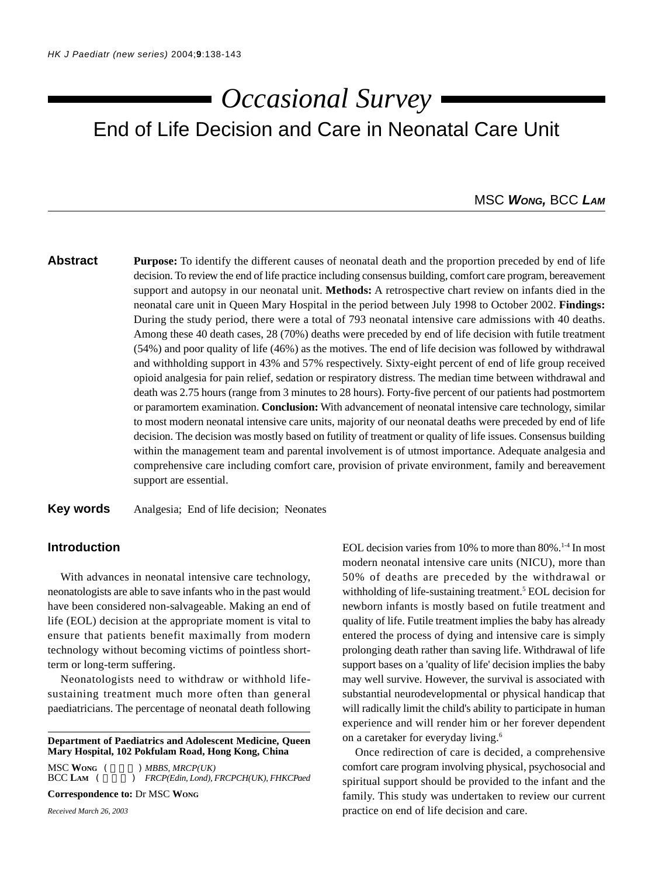# End of Life Decision and Care in Neonatal Care Unit *Occasional Survey*

# MSC *WONG,* BCC *LAM*

# **Abstract Purpose:** To identify the different causes of neonatal death and the proportion preceded by end of life decision. To review the end of life practice including consensus building, comfort care program, bereavement support and autopsy in our neonatal unit. **Methods:** A retrospective chart review on infants died in the neonatal care unit in Queen Mary Hospital in the period between July 1998 to October 2002. **Findings:** During the study period, there were a total of 793 neonatal intensive care admissions with 40 deaths. Among these 40 death cases, 28 (70%) deaths were preceded by end of life decision with futile treatment (54%) and poor quality of life (46%) as the motives. The end of life decision was followed by withdrawal and withholding support in 43% and 57% respectively. Sixty-eight percent of end of life group received opioid analgesia for pain relief, sedation or respiratory distress. The median time between withdrawal and death was 2.75 hours (range from 3 minutes to 28 hours). Forty-five percent of our patients had postmortem or paramortem examination. **Conclusion:** With advancement of neonatal intensive care technology, similar to most modern neonatal intensive care units, majority of our neonatal deaths were preceded by end of life decision. The decision was mostly based on futility of treatment or quality of life issues. Consensus building within the management team and parental involvement is of utmost importance. Adequate analgesia and comprehensive care including comfort care, provision of private environment, family and bereavement support are essential.

**Key words** Analgesia; End of life decision; Neonates

### **Introduction**

With advances in neonatal intensive care technology, neonatologists are able to save infants who in the past would have been considered non-salvageable. Making an end of life (EOL) decision at the appropriate moment is vital to ensure that patients benefit maximally from modern technology without becoming victims of pointless shortterm or long-term suffering.

Neonatologists need to withdraw or withhold lifesustaining treatment much more often than general paediatricians. The percentage of neonatal death following

**Department of Paediatrics and Adolescent Medicine, Queen Mary Hospital, 102 Pokfulam Road, Hong Kong, China**

MSC WONG (  $\qquad$  ) *MBBS, MRCP(UK)*<br>BCC LAM ( ) *FRCP(Edin, Lond), l*  $B$  *FRCP(Edin, Lond), FRCPCH(UK), FHKCPaed* 

**Correspondence to:** Dr MSC **WONG**

*Received March 26, 2003*

EOL decision varies from 10% to more than  $80\%$ .<sup>1-4</sup> In most modern neonatal intensive care units (NICU), more than 50% of deaths are preceded by the withdrawal or withholding of life-sustaining treatment.<sup>5</sup> EOL decision for newborn infants is mostly based on futile treatment and quality of life. Futile treatment implies the baby has already entered the process of dying and intensive care is simply prolonging death rather than saving life. Withdrawal of life support bases on a 'quality of life' decision implies the baby may well survive. However, the survival is associated with substantial neurodevelopmental or physical handicap that will radically limit the child's ability to participate in human experience and will render him or her forever dependent on a caretaker for everyday living.6

Once redirection of care is decided, a comprehensive comfort care program involving physical, psychosocial and spiritual support should be provided to the infant and the family. This study was undertaken to review our current practice on end of life decision and care.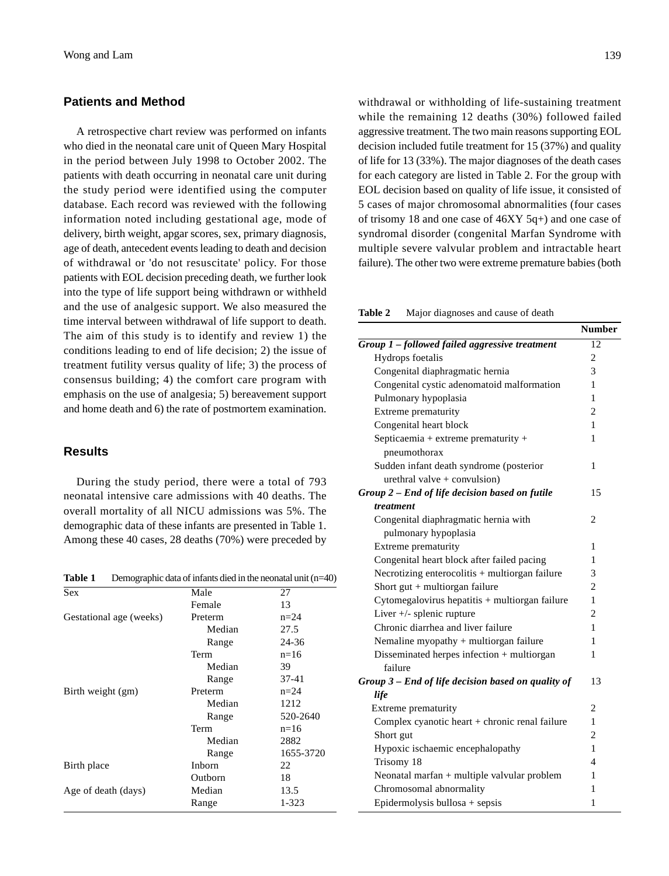#### **Patients and Method**

A retrospective chart review was performed on infants who died in the neonatal care unit of Queen Mary Hospital in the period between July 1998 to October 2002. The patients with death occurring in neonatal care unit during the study period were identified using the computer database. Each record was reviewed with the following information noted including gestational age, mode of delivery, birth weight, apgar scores, sex, primary diagnosis, age of death, antecedent events leading to death and decision of withdrawal or 'do not resuscitate' policy. For those patients with EOL decision preceding death, we further look into the type of life support being withdrawn or withheld and the use of analgesic support. We also measured the time interval between withdrawal of life support to death. The aim of this study is to identify and review 1) the conditions leading to end of life decision; 2) the issue of treatment futility versus quality of life; 3) the process of consensus building; 4) the comfort care program with emphasis on the use of analgesia; 5) bereavement support and home death and 6) the rate of postmortem examination.

## **Results**

During the study period, there were a total of 793 neonatal intensive care admissions with 40 deaths. The overall mortality of all NICU admissions was 5%. The demographic data of these infants are presented in Table 1. Among these 40 cases, 28 deaths (70%) were preceded by

**Table 1** Demographic data of infants died in the neonatal unit (n=40)

| Sex                     | Male    | 27        |
|-------------------------|---------|-----------|
|                         | Female  | 13        |
| Gestational age (weeks) | Preterm | $n=24$    |
|                         | Median  | 27.5      |
|                         | Range   | 24-36     |
|                         | Term    | $n=16$    |
|                         | Median  | 39        |
|                         | Range   | $37 - 41$ |
| Birth weight (gm)       | Preterm | $n=24$    |
|                         | Median  | 1212      |
|                         | Range   | 520-2640  |
|                         | Term    | $n=16$    |
|                         | Median  | 2882      |
|                         | Range   | 1655-3720 |
| Birth place             | Inborn  | 22        |
|                         | Outborn | 18        |
| Age of death (days)     | Median  | 13.5      |
|                         | Range   | 1-323     |
|                         |         |           |

withdrawal or withholding of life-sustaining treatment while the remaining 12 deaths (30%) followed failed aggressive treatment. The two main reasons supporting EOL decision included futile treatment for 15 (37%) and quality of life for 13 (33%). The major diagnoses of the death cases for each category are listed in Table 2. For the group with EOL decision based on quality of life issue, it consisted of 5 cases of major chromosomal abnormalities (four cases of trisomy 18 and one case of 46XY 5q+) and one case of syndromal disorder (congenital Marfan Syndrome with multiple severe valvular problem and intractable heart failure). The other two were extreme premature babies (both

**Table 2** Major diagnoses and cause of death

|                                                    | <b>Number</b>  |
|----------------------------------------------------|----------------|
| Group 1 - followed failed aggressive treatment     | 12             |
| Hydrops foetalis                                   | $\overline{2}$ |
| Congenital diaphragmatic hernia                    | 3              |
| Congenital cystic adenomatoid malformation         | 1              |
| Pulmonary hypoplasia                               | 1              |
| Extreme prematurity                                | 2              |
| Congenital heart block                             | 1              |
| Septicaemia + extreme prematurity +                | 1              |
| pneumothorax                                       |                |
| Sudden infant death syndrome (posterior            | 1              |
| urethral valve $+$ convulsion)                     |                |
| Group 2 - End of life decision based on futile     | 15             |
| treatment                                          |                |
| Congenital diaphragmatic hernia with               | 2              |
| pulmonary hypoplasia                               |                |
| Extreme prematurity                                | 1              |
| Congenital heart block after failed pacing         | 1              |
| Necrotizing enterocolitis + multiorgan failure     | 3              |
| Short gut + multiorgan failure                     | $\overline{2}$ |
| Cytomegalovirus hepatitis + multiorgan failure     | 1              |
| Liver $+\prime$ - splenic rupture                  | 2              |
| Chronic diarrhea and liver failure                 | 1              |
| Nemaline myopathy + multiorgan failure             | 1              |
| Disseminated herpes infection + multiorgan         | 1              |
| failure                                            |                |
| Group 3 – End of life decision based on quality of | 13             |
| life                                               |                |
| Extreme prematurity                                | $\overline{c}$ |
| Complex cyanotic heart + chronic renal failure     | 1              |
| Short gut                                          | 2              |
| Hypoxic ischaemic encephalopathy                   | 1              |
| Trisomy 18                                         | 4              |
| Neonatal marfan + multiple valvular problem        | 1              |
| Chromosomal abnormality                            | 1              |
| Epidermolysis bullosa + sepsis                     | 1              |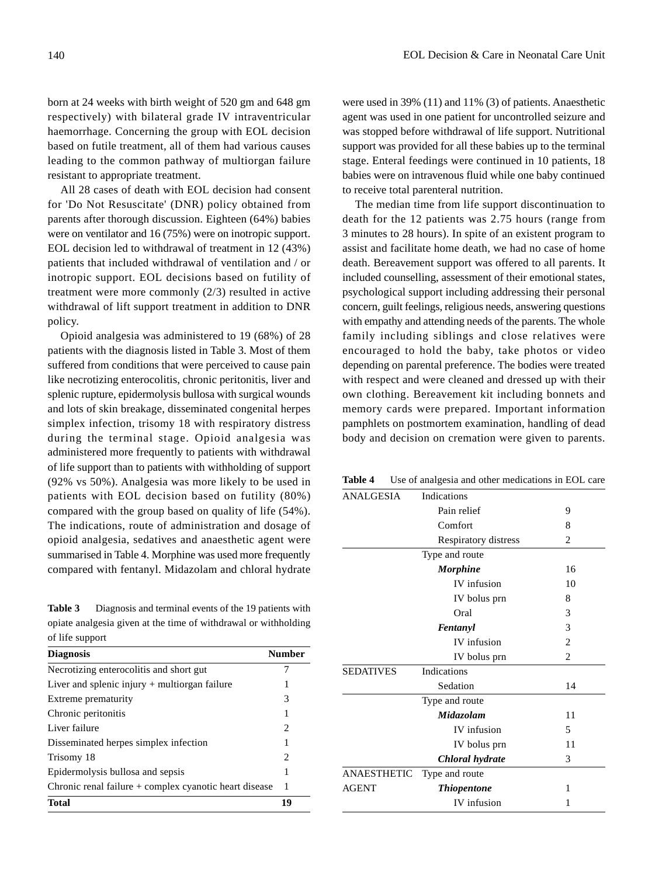born at 24 weeks with birth weight of 520 gm and 648 gm respectively) with bilateral grade IV intraventricular haemorrhage. Concerning the group with EOL decision based on futile treatment, all of them had various causes leading to the common pathway of multiorgan failure resistant to appropriate treatment.

All 28 cases of death with EOL decision had consent for 'Do Not Resuscitate' (DNR) policy obtained from parents after thorough discussion. Eighteen (64%) babies were on ventilator and 16 (75%) were on inotropic support. EOL decision led to withdrawal of treatment in 12 (43%) patients that included withdrawal of ventilation and / or inotropic support. EOL decisions based on futility of treatment were more commonly (2/3) resulted in active withdrawal of lift support treatment in addition to DNR policy.

Opioid analgesia was administered to 19 (68%) of 28 patients with the diagnosis listed in Table 3. Most of them suffered from conditions that were perceived to cause pain like necrotizing enterocolitis, chronic peritonitis, liver and splenic rupture, epidermolysis bullosa with surgical wounds and lots of skin breakage, disseminated congenital herpes simplex infection, trisomy 18 with respiratory distress during the terminal stage. Opioid analgesia was administered more frequently to patients with withdrawal of life support than to patients with withholding of support (92% vs 50%). Analgesia was more likely to be used in patients with EOL decision based on futility (80%) compared with the group based on quality of life (54%). The indications, route of administration and dosage of opioid analgesia, sedatives and anaesthetic agent were summarised in Table 4. Morphine was used more frequently compared with fentanyl. Midazolam and chloral hydrate

**Table 3** Diagnosis and terminal events of the 19 patients with opiate analgesia given at the time of withdrawal or withholding of life support

| <b>Diagnosis</b>                                       | <b>Number</b>          |
|--------------------------------------------------------|------------------------|
| Necrotizing enterocolitis and short gut                |                        |
| Liver and splenic injury $+$ multiorgan failure        |                        |
| Extreme prematurity                                    | 3                      |
| Chronic peritonitis                                    | 1                      |
| Liver failure                                          | $\mathfrak{D}_{\cdot}$ |
| Disseminated herpes simplex infection                  | 1                      |
| Trisomy 18                                             | 2                      |
| Epidermolysis bullosa and sepsis                       |                        |
| Chronic renal failure + complex cyanotic heart disease | 1                      |
| <b>Total</b>                                           | 19                     |

were used in 39% (11) and 11% (3) of patients. Anaesthetic agent was used in one patient for uncontrolled seizure and was stopped before withdrawal of life support. Nutritional support was provided for all these babies up to the terminal stage. Enteral feedings were continued in 10 patients, 18 babies were on intravenous fluid while one baby continued to receive total parenteral nutrition.

The median time from life support discontinuation to death for the 12 patients was 2.75 hours (range from 3 minutes to 28 hours). In spite of an existent program to assist and facilitate home death, we had no case of home death. Bereavement support was offered to all parents. It included counselling, assessment of their emotional states, psychological support including addressing their personal concern, guilt feelings, religious needs, answering questions with empathy and attending needs of the parents. The whole family including siblings and close relatives were encouraged to hold the baby, take photos or video depending on parental preference. The bodies were treated with respect and were cleaned and dressed up with their own clothing. Bereavement kit including bonnets and memory cards were prepared. Important information pamphlets on postmortem examination, handling of dead body and decision on cremation were given to parents.

ANALGESIA Indications Pain relief 9 Comfort 8 Respiratory distress 2 Type and route *Morphine* 16 IV infusion 10 IV bolus prn 8 Oral 3 *Fentanyl* 3 IV infusion 2 IV bolus prn 2 SEDATIVES Indications Sedation 14 Type and route *Midazolam* 11 IV infusion 5 IV bolus prn 11 *Chloral hydrate* 3 ANAESTHETIC Type and route AGENT *Thiopentone* 1 IV infusion 1

**Table 4** Use of analgesia and other medications in EOL care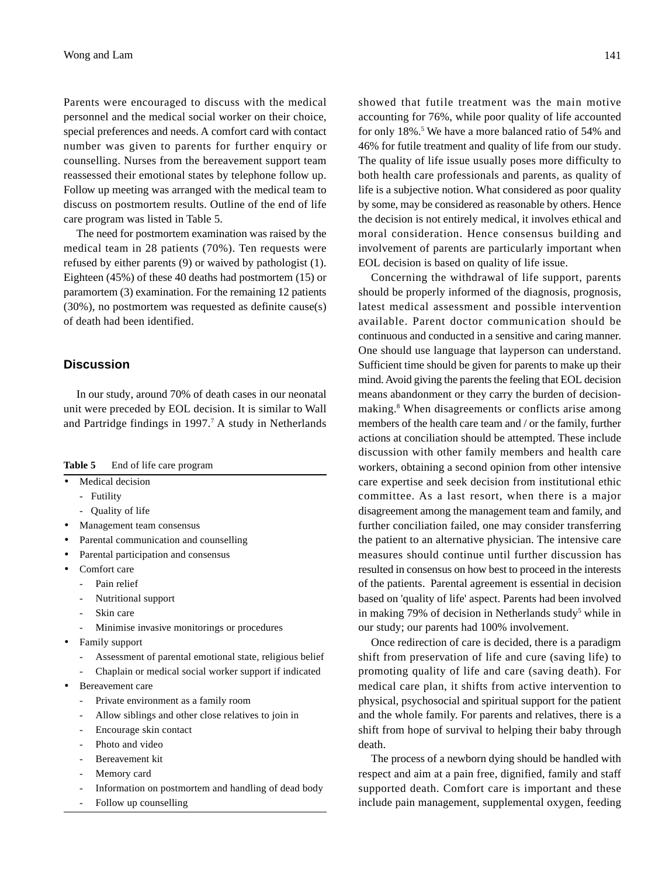Parents were encouraged to discuss with the medical personnel and the medical social worker on their choice, special preferences and needs. A comfort card with contact number was given to parents for further enquiry or counselling. Nurses from the bereavement support team reassessed their emotional states by telephone follow up. Follow up meeting was arranged with the medical team to discuss on postmortem results. Outline of the end of life care program was listed in Table 5.

The need for postmortem examination was raised by the medical team in 28 patients (70%). Ten requests were refused by either parents (9) or waived by pathologist (1). Eighteen (45%) of these 40 deaths had postmortem (15) or paramortem (3) examination. For the remaining 12 patients (30%), no postmortem was requested as definite cause(s) of death had been identified.

#### **Discussion**

In our study, around 70% of death cases in our neonatal unit were preceded by EOL decision. It is similar to Wall and Partridge findings in 1997.<sup>7</sup> A study in Netherlands

| Table 5 |  | End of life care program |  |
|---------|--|--------------------------|--|
|---------|--|--------------------------|--|

- Medical decision
	- Futility
	- Quality of life
- Management team consensus
- Parental communication and counselling
- Parental participation and consensus
- Comfort care
	- Pain relief
	- Nutritional support
	- Skin care
	- Minimise invasive monitorings or procedures
- Family support
	- Assessment of parental emotional state, religious belief
	- Chaplain or medical social worker support if indicated
- Bereavement care
	- Private environment as a family room
	- Allow siblings and other close relatives to join in
	- Encourage skin contact
	- Photo and video
	- Bereavement kit
	- Memory card
	- Information on postmortem and handling of dead body
	- Follow up counselling

showed that futile treatment was the main motive accounting for 76%, while poor quality of life accounted for only 18%.<sup>5</sup> We have a more balanced ratio of 54% and 46% for futile treatment and quality of life from our study. The quality of life issue usually poses more difficulty to both health care professionals and parents, as quality of life is a subjective notion. What considered as poor quality by some, may be considered as reasonable by others. Hence the decision is not entirely medical, it involves ethical and moral consideration. Hence consensus building and involvement of parents are particularly important when EOL decision is based on quality of life issue.

Concerning the withdrawal of life support, parents should be properly informed of the diagnosis, prognosis, latest medical assessment and possible intervention available. Parent doctor communication should be continuous and conducted in a sensitive and caring manner. One should use language that layperson can understand. Sufficient time should be given for parents to make up their mind. Avoid giving the parents the feeling that EOL decision means abandonment or they carry the burden of decisionmaking.<sup>8</sup> When disagreements or conflicts arise among members of the health care team and / or the family, further actions at conciliation should be attempted. These include discussion with other family members and health care workers, obtaining a second opinion from other intensive care expertise and seek decision from institutional ethic committee. As a last resort, when there is a major disagreement among the management team and family, and further conciliation failed, one may consider transferring the patient to an alternative physician. The intensive care measures should continue until further discussion has resulted in consensus on how best to proceed in the interests of the patients. Parental agreement is essential in decision based on 'quality of life' aspect. Parents had been involved in making 79% of decision in Netherlands study<sup>5</sup> while in our study; our parents had 100% involvement.

Once redirection of care is decided, there is a paradigm shift from preservation of life and cure (saving life) to promoting quality of life and care (saving death). For medical care plan, it shifts from active intervention to physical, psychosocial and spiritual support for the patient and the whole family. For parents and relatives, there is a shift from hope of survival to helping their baby through death.

The process of a newborn dying should be handled with respect and aim at a pain free, dignified, family and staff supported death. Comfort care is important and these include pain management, supplemental oxygen, feeding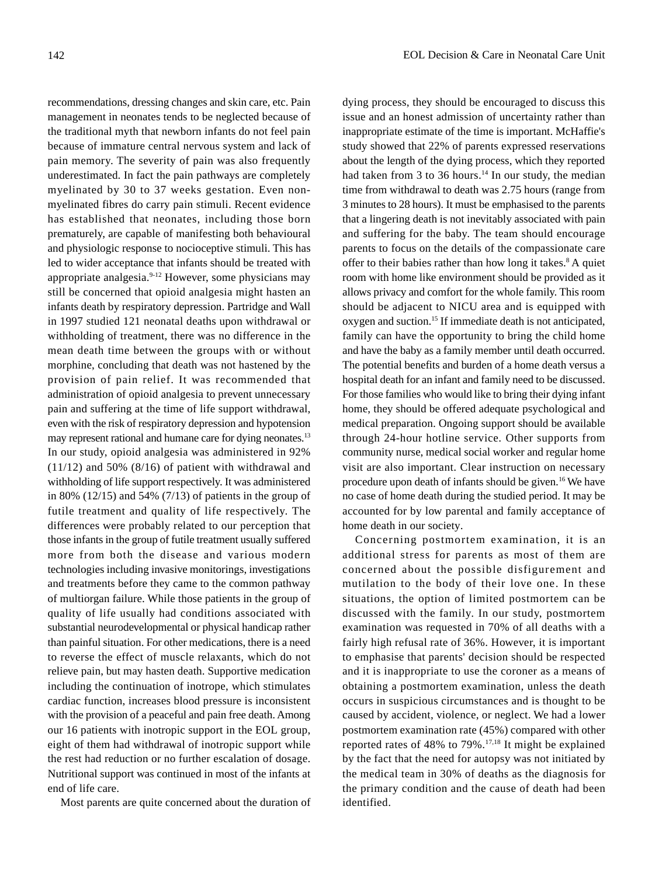recommendations, dressing changes and skin care, etc. Pain management in neonates tends to be neglected because of the traditional myth that newborn infants do not feel pain because of immature central nervous system and lack of pain memory. The severity of pain was also frequently underestimated. In fact the pain pathways are completely myelinated by 30 to 37 weeks gestation. Even nonmyelinated fibres do carry pain stimuli. Recent evidence has established that neonates, including those born prematurely, are capable of manifesting both behavioural and physiologic response to nocioceptive stimuli. This has led to wider acceptance that infants should be treated with appropriate analgesia.9-12 However, some physicians may still be concerned that opioid analgesia might hasten an infants death by respiratory depression. Partridge and Wall in 1997 studied 121 neonatal deaths upon withdrawal or withholding of treatment, there was no difference in the mean death time between the groups with or without morphine, concluding that death was not hastened by the provision of pain relief. It was recommended that administration of opioid analgesia to prevent unnecessary pain and suffering at the time of life support withdrawal, even with the risk of respiratory depression and hypotension may represent rational and humane care for dying neonates.<sup>13</sup> In our study, opioid analgesia was administered in 92%  $(11/12)$  and 50%  $(8/16)$  of patient with withdrawal and withholding of life support respectively. It was administered in 80%  $(12/15)$  and 54%  $(7/13)$  of patients in the group of futile treatment and quality of life respectively. The differences were probably related to our perception that those infants in the group of futile treatment usually suffered more from both the disease and various modern technologies including invasive monitorings, investigations and treatments before they came to the common pathway of multiorgan failure. While those patients in the group of quality of life usually had conditions associated with substantial neurodevelopmental or physical handicap rather than painful situation. For other medications, there is a need to reverse the effect of muscle relaxants, which do not relieve pain, but may hasten death. Supportive medication including the continuation of inotrope, which stimulates cardiac function, increases blood pressure is inconsistent with the provision of a peaceful and pain free death. Among our 16 patients with inotropic support in the EOL group, eight of them had withdrawal of inotropic support while the rest had reduction or no further escalation of dosage. Nutritional support was continued in most of the infants at end of life care.

Most parents are quite concerned about the duration of

dying process, they should be encouraged to discuss this issue and an honest admission of uncertainty rather than inappropriate estimate of the time is important. McHaffie's study showed that 22% of parents expressed reservations about the length of the dying process, which they reported had taken from 3 to 36 hours.<sup>14</sup> In our study, the median time from withdrawal to death was 2.75 hours (range from 3 minutes to 28 hours). It must be emphasised to the parents that a lingering death is not inevitably associated with pain and suffering for the baby. The team should encourage parents to focus on the details of the compassionate care offer to their babies rather than how long it takes.<sup>8</sup> A quiet room with home like environment should be provided as it allows privacy and comfort for the whole family. This room should be adjacent to NICU area and is equipped with oxygen and suction.15 If immediate death is not anticipated, family can have the opportunity to bring the child home and have the baby as a family member until death occurred. The potential benefits and burden of a home death versus a hospital death for an infant and family need to be discussed. For those families who would like to bring their dying infant home, they should be offered adequate psychological and medical preparation. Ongoing support should be available through 24-hour hotline service. Other supports from community nurse, medical social worker and regular home visit are also important. Clear instruction on necessary procedure upon death of infants should be given.<sup>16</sup> We have no case of home death during the studied period. It may be accounted for by low parental and family acceptance of home death in our society.

Concerning postmortem examination, it is an additional stress for parents as most of them are concerned about the possible disfigurement and mutilation to the body of their love one. In these situations, the option of limited postmortem can be discussed with the family. In our study, postmortem examination was requested in 70% of all deaths with a fairly high refusal rate of 36%. However, it is important to emphasise that parents' decision should be respected and it is inappropriate to use the coroner as a means of obtaining a postmortem examination, unless the death occurs in suspicious circumstances and is thought to be caused by accident, violence, or neglect. We had a lower postmortem examination rate (45%) compared with other reported rates of 48% to 79%.17,18 It might be explained by the fact that the need for autopsy was not initiated by the medical team in 30% of deaths as the diagnosis for the primary condition and the cause of death had been identified.